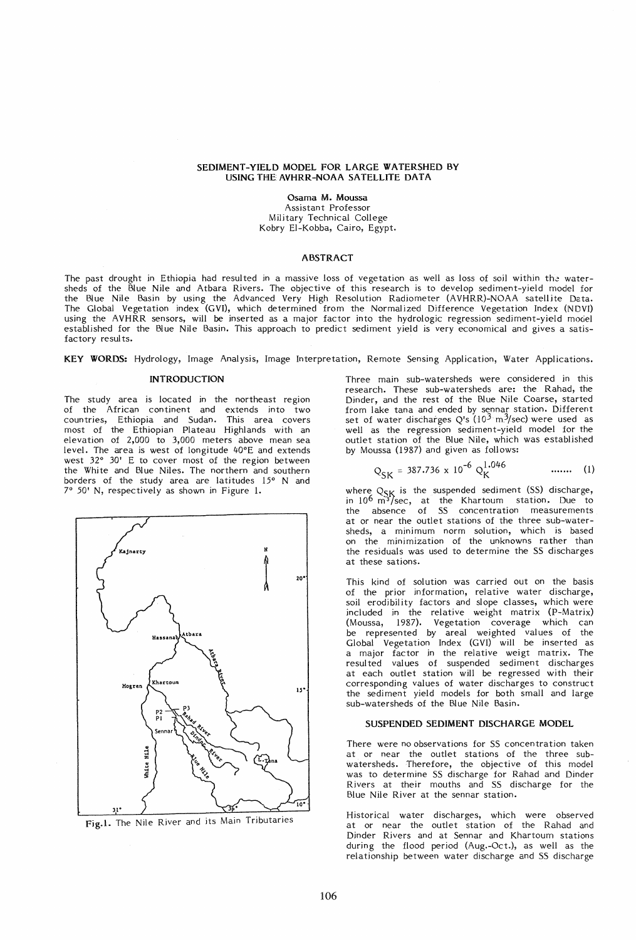# SEDIMENT-YIELD MODEL FOR LARGE WATERSHED BY USING THE AVHRR-NOAA SATELLITE DATA

Osama M. Moussa Assistant Professor Military Technical College Kobry EI-Kobba, Cairo, Egypt.

### ABSTRACT

The past drought in Ethiopia had resulted in a massive loss of vegetation as well as loss of soil within the watersheds of the Blue Nile and Atbara Rivers. The objective of this research is to develop sediment-yield model for the Blue Nile Basin by using the Advanced Very High Resolution Radiometer (AVHRR)-NOAA satellite Data. The Global Vegetation index (GVI), which determined from the Normalized Difference Vegetation Index (NDVI) using the AVHRR sensors, will be inserted as a major factor into the hydrologic regression sediment-yield model established for the Blue Nile Basin. This approach to predict sediment yield is very economical and gives a satisfactory results.

KEY WORDS: Hydrology, Image Analysis, Image Interpretation, Remote Sensing Application, Water Applications.

# INTRODUCTION

The study area is located in the northeast region of the African continent and extends into two countries, Ethiopia and Sudan. This area covers most of the Ethiopian Plateau Highlands with an elevation of 2,000 to 3,000 meters above mean sea level. The area is west of longitude 40°E and extends west 32° 30' E to cover most of the region between the White and Blue Niles. The northern and southern borders of the study area are latitudes 15° N and 7° 50' N, respectively as shown in Figure 1.





Three main sub-watersheds were considered in this research. These sub-watersheds are: the Rahad, the Dinder, and the rest of the Blue Nile Coarse, started from lake tana and ended by sennar station. Different set of water discharges Q's  $(10^3 \text{ m}^3/\text{sec})$  were used as well as the regression sediment-yield model for the outlet station of the Blue Nile, which was established by Moussa (1987) and given as follows:

$$
Q_{SK} = 387.736 \times 10^{-6} Q_K^{1.046} \qquad \qquad \dots \dots \qquad (1)
$$

where  $Q_{\sf SK}$  is the suspended sediment (SS) discharge,<br>in 10<sup>6</sup> m<sup>3</sup>/sec, at the Khartoum station. Due to the absence of SS concentration measurements at or near the outlet stations of the three sub-watersheds, a minimum norm solution, which is based on the minimization of the unknowns rather than the residuals was used to determine the SS discharges at these sations.

This kind of solution was carried out on the basis of the prior information, relative water discharge, soil erodibility factors and slope classes, which were included in the relative weight matrix (P-Matrix) (Moussa, 1987). Vegetation coverage which can be represented by areal weighted values of the Global Vegetation Index (GvI) will be inserted as a major factor in the relative weigt matrix. The resul ted val ues of suspended sediment discharges at each outlet station will be regressed with their corresponding values of water discharges to construct the sediment yield models for both small and large sub-watersheds of the Blue Nile Basin.

#### SUSPENDED SEDIMENT DISCHARGE MODEL

There were no observations for SS concentration taken at or near the outlet stations of the three subwatersheds. Therefore, the objective of this model was to determine SS discharge for Rahad and Dinder Rivers at their mouths and SS discharge for the Blue Nile River at the sennar station.

Historical water discharges, which were observed at or near the outlet station of the Rahad and Dinder Rivers and at Sennar and Khartoum stations during the flood period (Aug.-Oct.), as well as the relationship between water discharge and SS discharge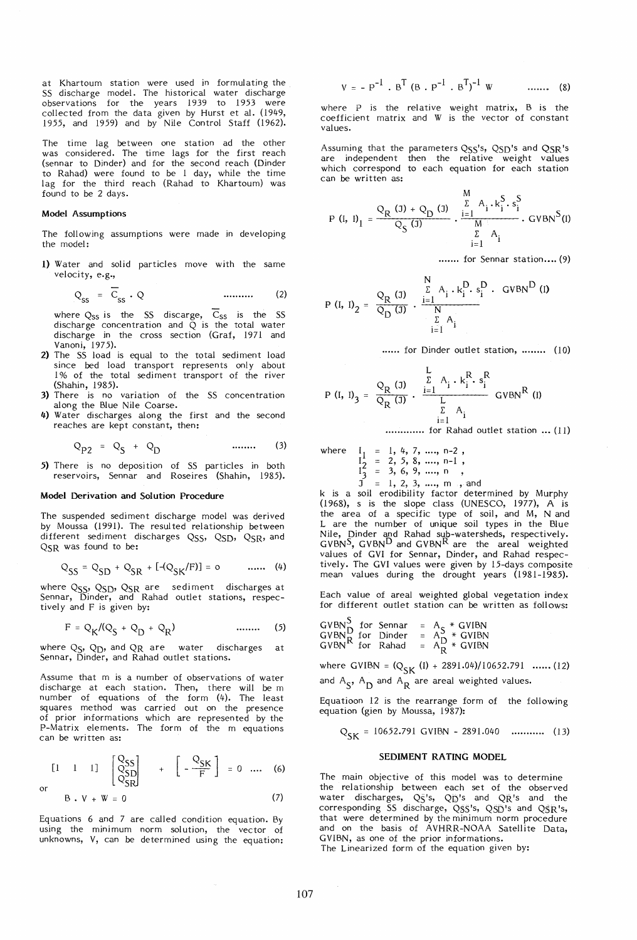at Khartoum station were used in formulating the SS discharge model. The historical water discharge observations for the years 1939 to 1953 were collected from the data given by Hurst et al. (1949, 1955, and 1959) and by Nile Control Staff (1962).

The time lag between one station ad the other was considered. The time lags for the first reach (sennar to Dinder) and for the second reach (Dinder to Rahad) were found to be 1 day, while the time lag for the third reach (Rahad to Khartoum) was found to be 2 days.

## Model Assumptions

The following assumptions were made in developing the model:

1) Water and solid particles move with the same velocity, e.g.,

$$
Q_{SS} = \overline{C}_{SS} \cdot Q \qquad \qquad \dots \dots \dots \qquad (2)
$$

where  $Q_{SS}$  is the SS discarge,  $C_{SS}$  is the SS discharge concentration and Q is the total water discharge in the cross section (Graf, 1971 and Vanoni, 1975).

- 2) The SS load is equal to the total sediment load since bed load transport represents only about 1 % of the total sediment transport of the river (Shahin, 1985).
- 3) There is no variation of the SS concentration along the Blue Nile Coarse.
- 4) Water discharges along the first and the second reaches are kept constant, then:

$$
Q_{P2} = Q_S + Q_D
$$
 ...... (3)

5) There is no deposition of SS particles in both reservoirs, Sennar and Roseires (Shahin, 1985).

# Model Derivation and Solution Procedure

The suspended sediment discharge model was derived by Moussa (1991). The resul ted relationship between different sediment discharges QSS, QSD, QSR, and QSR was found to be:

$$
Q_{SS} = Q_{SD} + Q_{SR} + [-(Q_{SK}/F)] = 0
$$
 ...... (4)

where  $\text{Q}_{\text{SS}}$ ,  $\text{Q}_{\text{SD}}$ ,  $\text{Q}_{\text{SR}}$  are sediment discharges at Sennar, Dinder, and Rahad outlet stations, respectively and F is given by:

$$
F = Q_{K}/(Q_{S} + Q_{D} + Q_{R})
$$
 ...... (5)

where  $Q_S$ ,  $Q_D$ , and  $QR$  are water discharges at Sennar, Dinder, and Rahad outlet stations.

Assume that m is a number of observations of water discharge at each station. Then, there will be m number of equations of the form (4). The least squares method was carried out on the presence of prior informations which are represented by the P-Matrix elements. The form of the m equations can be written as:

$$
\begin{bmatrix} 1 & 1 & 1 \end{bmatrix} \begin{bmatrix} Q_{\text{SS}} \\ Q_{\text{SD}} \\ Q_{\text{SD}} \end{bmatrix} + \begin{bmatrix} Q_{\text{SK}} \\ -\frac{Q_{\text{SK}}}{F} \end{bmatrix} = 0 \quad \dots \quad (6)
$$

$$
B \cdot V + W = 0 \tag{7}
$$

Equations 6 and 7 are called condition equation. By using the minimum norm solution, the vector of unknowns, V, can be determined using the equation:

$$
V = - P^{-1} . B^{T} (B . P^{-1} . B^{T})^{-1} W \qquad \qquad ...... \qquad (8)
$$

where  $P$  is the relative weight matrix,  $B$  is the coefficient matrix and W is the vector of constant values.

Assuming that the parameters QSS's, QSD's and QSR's are independent then the relative weight values which correspond to each equation for each station can be written as:

$$
P (I, I)1 = \frac{QR (J) + QD (J)}{QS (J)} \cdot \frac{\sum_{i=1}^{N} A_i \cdot k_i^{S} \cdot s_i^{S}}{\sum_{i=1}^{N} A_i} \cdot GVBNS(I)
$$

....... for Sennar station.... (9)

$$
P (I, I)2 = \frac{QR (J)}{QD (J)} \cdot \frac{\sum_{i=1}^{N} A_i \cdot k_i^{D} \cdot s_i^{D}}{\sum_{i=1}^{N} A_i}
$$

...... for Dinder outlet station, ........ (10)

$$
P (I, I)3 = \frac{QR (J)}{QR (J)} \cdot \frac{\sum_{i=1}^{L} A_i \cdot k_i^R \cdot s_i^R}{\sum_{i=1}^{L} A_i}
$$
 GVBN<sup>R</sup> (I)

**............** for Rahad outlet station ... (11)

where 
$$
I_1 = 1, 4, 7, ..., n-2
$$
,  
\n $I_2 = 2, 5, 8, ..., n-1$ ,  
\n $I_3 = 3, 6, 9, ..., n$ ,

 $J = 1, 2, 3, ..., m$ , and k is a soil erodibility factor determined by Murphy (1968), s is the slope class (UNESCO, 1977), A is the area of a specific type of soil, and M, Nand L are the number of unique soil types in the Blue Nile, Dinder and Rahad sub-watersheds, respectively.<br>GVBN<sup>S</sup>, GVBN<sup>D</sup> and GVBN<sup>R</sup> are the areal weighted

values of GVI for Sennar, Dinder, and Rahad respectively. The GVI values were given by 15-days composite mean values during the drought years (1981-1985).

Each value of areal weighted global vegetation index for different outlet station can be written as follows:

GVBN~ for Sennar A \* GVIBN GVBNR for Dinder AS \* GVIBN GVBN for Rahad AD \* GVIBN <sup>R</sup>

where GVIBN =  $(Q_{SK} (I) + 2891.04)/10652.791$  ...... (12) and  $A_S$ ,  $A_D$  and  $A_R$  are areal weighted values.

Equatioon 12 is the rearrange form of the following equation (gien by Moussa, 1987):

$$
Q_{SK} = 10652.791 \text{ GVIBN} - 2891.040 \quad \dots \quad (13)
$$

#### SEDIMENT RATING MODEL

The main objective of this model was to determine the relationship between each set of the observed water discharges,  $Q\bar{S}$ 's,  $Q\bar{D}$ 's and  $Q\bar{R}$ 's and the corresponding SS discharge, QSS's, QSD's and QSR's, that were determined by the minimum norm procedure and on the basis of AVHRR-NOAA Satellite Data, GVIBN, as one of the prior informations.

The Linearized form of the equation given by: